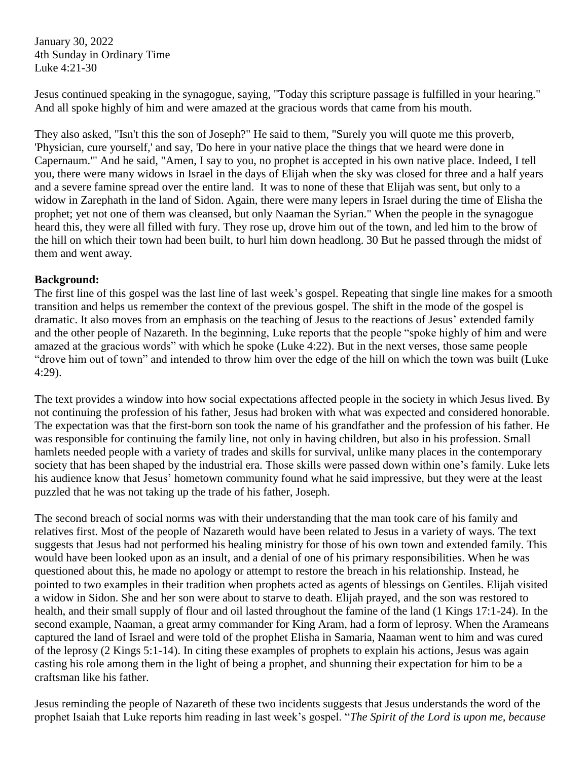January 30, 2022 4th Sunday in Ordinary Time Luke 4:21-30

Jesus continued speaking in the synagogue, saying, "Today this scripture passage is fulfilled in your hearing." And all spoke highly of him and were amazed at the gracious words that came from his mouth.

They also asked, "Isn't this the son of Joseph?" He said to them, "Surely you will quote me this proverb, 'Physician, cure yourself,' and say, 'Do here in your native place the things that we heard were done in Capernaum.'" And he said, "Amen, I say to you, no prophet is accepted in his own native place. Indeed, I tell you, there were many widows in Israel in the days of Elijah when the sky was closed for three and a half years and a severe famine spread over the entire land. It was to none of these that Elijah was sent, but only to a widow in Zarephath in the land of Sidon. Again, there were many lepers in Israel during the time of Elisha the prophet; yet not one of them was cleansed, but only Naaman the Syrian." When the people in the synagogue heard this, they were all filled with fury. They rose up, drove him out of the town, and led him to the brow of the hill on which their town had been built, to hurl him down headlong. 30 But he passed through the midst of them and went away.

## **Background:**

The first line of this gospel was the last line of last week's gospel. Repeating that single line makes for a smooth transition and helps us remember the context of the previous gospel. The shift in the mode of the gospel is dramatic. It also moves from an emphasis on the teaching of Jesus to the reactions of Jesus' extended family and the other people of Nazareth. In the beginning, Luke reports that the people "spoke highly of him and were amazed at the gracious words" with which he spoke (Luke 4:22). But in the next verses, those same people "drove him out of town" and intended to throw him over the edge of the hill on which the town was built (Luke 4:29).

The text provides a window into how social expectations affected people in the society in which Jesus lived. By not continuing the profession of his father, Jesus had broken with what was expected and considered honorable. The expectation was that the first-born son took the name of his grandfather and the profession of his father. He was responsible for continuing the family line, not only in having children, but also in his profession. Small hamlets needed people with a variety of trades and skills for survival, unlike many places in the contemporary society that has been shaped by the industrial era. Those skills were passed down within one's family. Luke lets his audience know that Jesus' hometown community found what he said impressive, but they were at the least puzzled that he was not taking up the trade of his father, Joseph.

The second breach of social norms was with their understanding that the man took care of his family and relatives first. Most of the people of Nazareth would have been related to Jesus in a variety of ways. The text suggests that Jesus had not performed his healing ministry for those of his own town and extended family. This would have been looked upon as an insult, and a denial of one of his primary responsibilities. When he was questioned about this, he made no apology or attempt to restore the breach in his relationship. Instead, he pointed to two examples in their tradition when prophets acted as agents of blessings on Gentiles. Elijah visited a widow in Sidon. She and her son were about to starve to death. Elijah prayed, and the son was restored to health, and their small supply of flour and oil lasted throughout the famine of the land (1 Kings 17:1-24). In the second example, Naaman, a great army commander for King Aram, had a form of leprosy. When the Arameans captured the land of Israel and were told of the prophet Elisha in Samaria, Naaman went to him and was cured of the leprosy (2 Kings 5:1-14). In citing these examples of prophets to explain his actions, Jesus was again casting his role among them in the light of being a prophet, and shunning their expectation for him to be a craftsman like his father.

Jesus reminding the people of Nazareth of these two incidents suggests that Jesus understands the word of the prophet Isaiah that Luke reports him reading in last week's gospel. "*The Spirit of the Lord is upon me, because*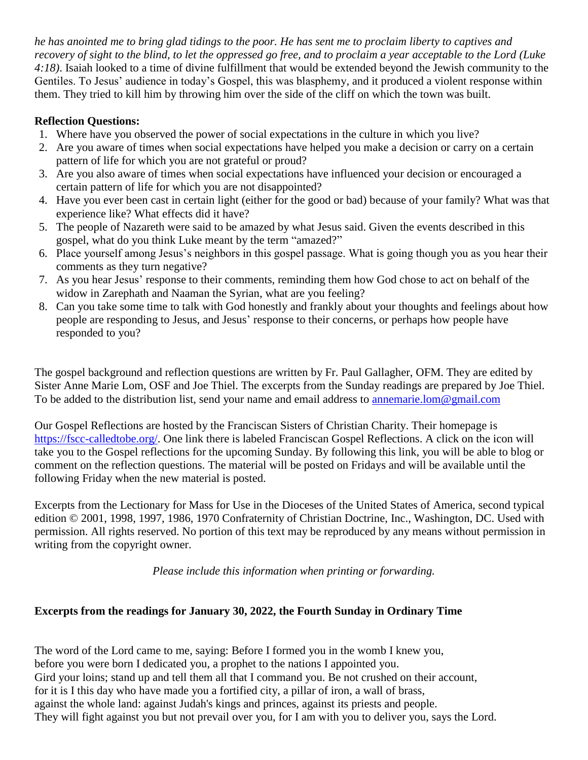*he has anointed me to bring glad tidings to the poor. He has sent me to proclaim liberty to captives and recovery of sight to the blind, to let the oppressed go free, and to proclaim a year acceptable to the Lord (Luke 4:18)*. Isaiah looked to a time of divine fulfillment that would be extended beyond the Jewish community to the Gentiles. To Jesus' audience in today's Gospel, this was blasphemy, and it produced a violent response within them. They tried to kill him by throwing him over the side of the cliff on which the town was built.

## **Reflection Questions:**

- 1. Where have you observed the power of social expectations in the culture in which you live?
- 2. Are you aware of times when social expectations have helped you make a decision or carry on a certain pattern of life for which you are not grateful or proud?
- 3. Are you also aware of times when social expectations have influenced your decision or encouraged a certain pattern of life for which you are not disappointed?
- 4. Have you ever been cast in certain light (either for the good or bad) because of your family? What was that experience like? What effects did it have?
- 5. The people of Nazareth were said to be amazed by what Jesus said. Given the events described in this gospel, what do you think Luke meant by the term "amazed?"
- 6. Place yourself among Jesus's neighbors in this gospel passage. What is going though you as you hear their comments as they turn negative?
- 7. As you hear Jesus' response to their comments, reminding them how God chose to act on behalf of the widow in Zarephath and Naaman the Syrian, what are you feeling?
- 8. Can you take some time to talk with God honestly and frankly about your thoughts and feelings about how people are responding to Jesus, and Jesus' response to their concerns, or perhaps how people have responded to you?

The gospel background and reflection questions are written by Fr. Paul Gallagher, OFM. They are edited by Sister Anne Marie Lom, OSF and Joe Thiel. The excerpts from the Sunday readings are prepared by Joe Thiel. To be added to the distribution list, send your name and email address to [annemarie.lom@gmail.com](mailto:annemarie.lom@gmail.com)

Our Gospel Reflections are hosted by the Franciscan Sisters of Christian Charity. Their homepage is [https://fscc-calledtobe.org/.](https://fscc-calledtobe.org/) One link there is labeled Franciscan Gospel Reflections. A click on the icon will take you to the Gospel reflections for the upcoming Sunday. By following this link, you will be able to blog or comment on the reflection questions. The material will be posted on Fridays and will be available until the following Friday when the new material is posted.

Excerpts from the Lectionary for Mass for Use in the Dioceses of the United States of America, second typical edition © 2001, 1998, 1997, 1986, 1970 Confraternity of Christian Doctrine, Inc., Washington, DC. Used with permission. All rights reserved. No portion of this text may be reproduced by any means without permission in writing from the copyright owner.

*Please include this information when printing or forwarding.*

# **Excerpts from the readings for January 30, 2022, the Fourth Sunday in Ordinary Time**

The word of the Lord came to me, saying: Before I formed you in the womb I knew you, before you were born I dedicated you, a prophet to the nations I appointed you. Gird your loins; stand up and tell them all that I command you. Be not crushed on their account, for it is I this day who have made you a fortified city, a pillar of iron, a wall of brass, against the whole land: against Judah's kings and princes, against its priests and people. They will fight against you but not prevail over you, for I am with you to deliver you, says the Lord.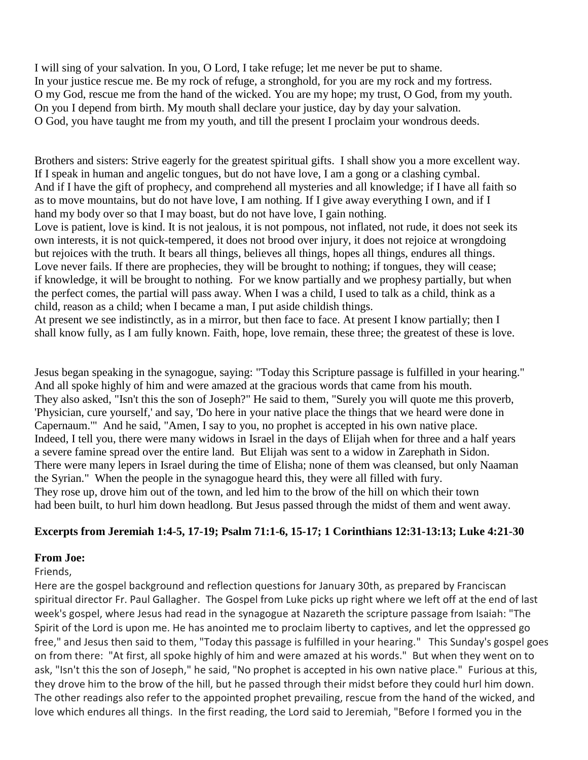I will sing of your salvation. In you, O Lord, I take refuge; let me never be put to shame. In your justice rescue me. Be my rock of refuge, a stronghold, for you are my rock and my fortress. O my God, rescue me from the hand of the wicked. You are my hope; my trust, O God, from my youth. On you I depend from birth. My mouth shall declare your justice, day by day your salvation. O God, you have taught me from my youth, and till the present I proclaim your wondrous deeds.

Brothers and sisters: Strive eagerly for the greatest spiritual gifts. I shall show you a more excellent way. If I speak in human and angelic tongues, but do not have love, I am a gong or a clashing cymbal. And if I have the gift of prophecy, and comprehend all mysteries and all knowledge; if I have all faith so as to move mountains, but do not have love, I am nothing. If I give away everything I own, and if I hand my body over so that I may boast, but do not have love, I gain nothing.

Love is patient, love is kind. It is not jealous, it is not pompous, not inflated, not rude, it does not seek its own interests, it is not quick-tempered, it does not brood over injury, it does not rejoice at wrongdoing but rejoices with the truth. It bears all things, believes all things, hopes all things, endures all things. Love never fails. If there are prophecies, they will be brought to nothing; if tongues, they will cease; if knowledge, it will be brought to nothing. For we know partially and we prophesy partially, but when the perfect comes, the partial will pass away. When I was a child, I used to talk as a child, think as a child, reason as a child; when I became a man, I put aside childish things.

At present we see indistinctly, as in a mirror, but then face to face. At present I know partially; then I shall know fully, as I am fully known. Faith, hope, love remain, these three; the greatest of these is love.

Jesus began speaking in the synagogue, saying: "Today this Scripture passage is fulfilled in your hearing." And all spoke highly of him and were amazed at the gracious words that came from his mouth. They also asked, "Isn't this the son of Joseph?" He said to them, "Surely you will quote me this proverb, 'Physician, cure yourself,' and say, 'Do here in your native place the things that we heard were done in Capernaum.'" And he said, "Amen, I say to you, no prophet is accepted in his own native place. Indeed, I tell you, there were many widows in Israel in the days of Elijah when for three and a half years a severe famine spread over the entire land. But Elijah was sent to a widow in Zarephath in Sidon. There were many lepers in Israel during the time of Elisha; none of them was cleansed, but only Naaman the Syrian." When the people in the synagogue heard this, they were all filled with fury. They rose up, drove him out of the town, and led him to the brow of the hill on which their town had been built, to hurl him down headlong. But Jesus passed through the midst of them and went away.

## **Excerpts from Jeremiah 1:4-5, 17-19; Psalm 71:1-6, 15-17; 1 Corinthians 12:31-13:13; Luke 4:21-30**

#### **From Joe:**

Friends,

Here are the gospel background and reflection questions for January 30th, as prepared by Franciscan spiritual director Fr. Paul Gallagher. The Gospel from Luke picks up right where we left off at the end of last week's gospel, where Jesus had read in the synagogue at Nazareth the scripture passage from Isaiah: "The Spirit of the Lord is upon me. He has anointed me to proclaim liberty to captives, and let the oppressed go free," and Jesus then said to them, "Today this passage is fulfilled in your hearing." This Sunday's gospel goes on from there: "At first, all spoke highly of him and were amazed at his words." But when they went on to ask, "Isn't this the son of Joseph," he said, "No prophet is accepted in his own native place." Furious at this, they drove him to the brow of the hill, but he passed through their midst before they could hurl him down. The other readings also refer to the appointed prophet prevailing, rescue from the hand of the wicked, and love which endures all things. In the first reading, the Lord said to Jeremiah, "Before I formed you in the